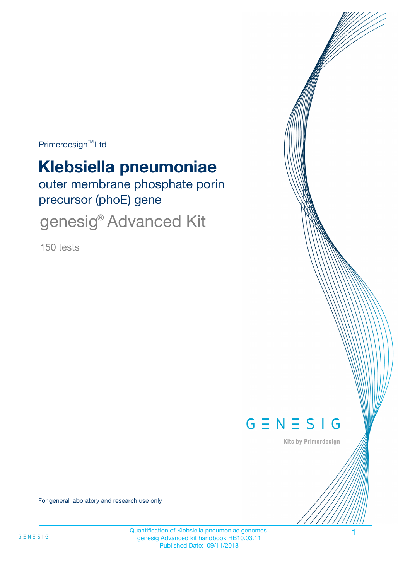Primerdesign<sup>™</sup>Ltd

# **Klebsiella pneumoniae**

outer membrane phosphate porin precursor (phoE) gene

genesig® Advanced Kit

150 tests



Kits by Primerdesign

For general laboratory and research use only

Quantification of Klebsiella pneumoniae genomes. 1 genesig Advanced kit handbook HB10.03.11 Published Date: 09/11/2018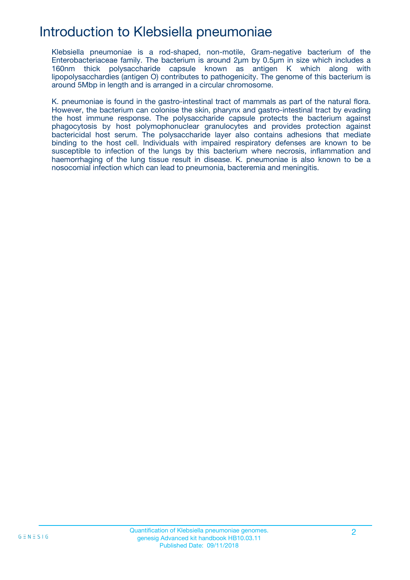## Introduction to Klebsiella pneumoniae

Klebsiella pneumoniae is a rod-shaped, non-motile, Gram-negative bacterium of the Enterobacteriaceae family. The bacterium is around 2µm by 0.5µm in size which includes a 160nm thick polysaccharide capsule known as antigen K which along with lipopolysacchardies (antigen O) contributes to pathogenicity. The genome of this bacterium is around 5Mbp in length and is arranged in a circular chromosome.

K. pneumoniae is found in the gastro-intestinal tract of mammals as part of the natural flora. However, the bacterium can colonise the skin, pharynx and gastro-intestinal tract by evading the host immune response. The polysaccharide capsule protects the bacterium against phagocytosis by host polymophonuclear granulocytes and provides protection against bactericidal host serum. The polysaccharide layer also contains adhesions that mediate binding to the host cell. Individuals with impaired respiratory defenses are known to be susceptible to infection of the lungs by this bacterium where necrosis, inflammation and haemorrhaging of the lung tissue result in disease. K. pneumoniae is also known to be a nosocomial infection which can lead to pneumonia, bacteremia and meningitis.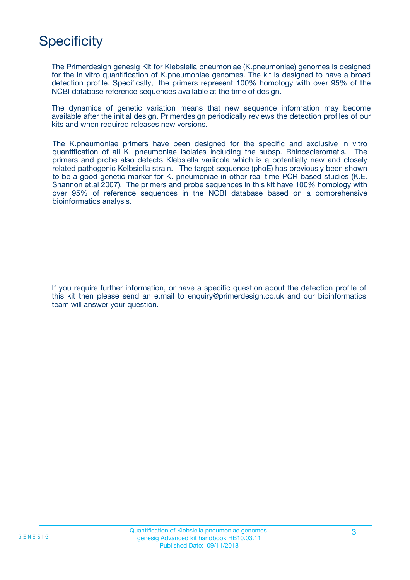## **Specificity**

The Primerdesign genesig Kit for Klebsiella pneumoniae (K.pneumoniae) genomes is designed for the in vitro quantification of K.pneumoniae genomes. The kit is designed to have a broad detection profile. Specifically, the primers represent 100% homology with over 95% of the NCBI database reference sequences available at the time of design.

The dynamics of genetic variation means that new sequence information may become available after the initial design. Primerdesign periodically reviews the detection profiles of our kits and when required releases new versions.

The K.pneumoniae primers have been designed for the specific and exclusive in vitro quantification of all K. pneumoniae isolates including the subsp. Rhinoscleromatis. The primers and probe also detects Klebsiella variicola which is a potentially new and closely related pathogenic Kelbsiella strain. The target sequence (phoE) has previously been shown to be a good genetic marker for K. pneumoniae in other real time PCR based studies (K.E. Shannon et.al 2007). The primers and probe sequences in this kit have 100% homology with over 95% of reference sequences in the NCBI database based on a comprehensive bioinformatics analysis.

If you require further information, or have a specific question about the detection profile of this kit then please send an e.mail to enquiry@primerdesign.co.uk and our bioinformatics team will answer your question.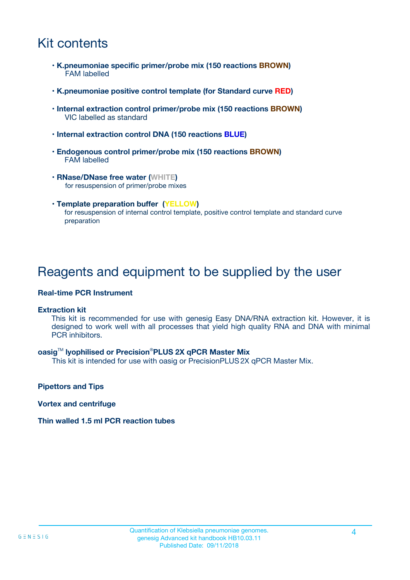## Kit contents

- **K.pneumoniae specific primer/probe mix (150 reactions BROWN)** FAM labelled
- **K.pneumoniae positive control template (for Standard curve RED)**
- **Internal extraction control primer/probe mix (150 reactions BROWN)** VIC labelled as standard
- **Internal extraction control DNA (150 reactions BLUE)**
- **Endogenous control primer/probe mix (150 reactions BROWN)** FAM labelled
- **RNase/DNase free water (WHITE)** for resuspension of primer/probe mixes
- **Template preparation buffer (YELLOW)** for resuspension of internal control template, positive control template and standard curve preparation

### Reagents and equipment to be supplied by the user

#### **Real-time PCR Instrument**

#### **Extraction kit**

This kit is recommended for use with genesig Easy DNA/RNA extraction kit. However, it is designed to work well with all processes that yield high quality RNA and DNA with minimal PCR inhibitors.

#### **oasig**TM **lyophilised or Precision**®**PLUS 2X qPCR Master Mix**

This kit is intended for use with oasig or PrecisionPLUS2X qPCR Master Mix.

**Pipettors and Tips**

**Vortex and centrifuge**

#### **Thin walled 1.5 ml PCR reaction tubes**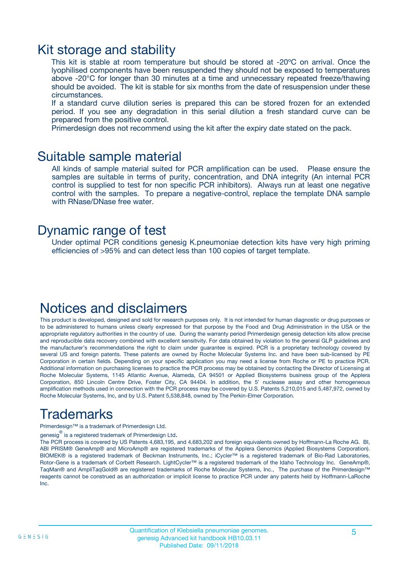### Kit storage and stability

This kit is stable at room temperature but should be stored at -20ºC on arrival. Once the lyophilised components have been resuspended they should not be exposed to temperatures above -20°C for longer than 30 minutes at a time and unnecessary repeated freeze/thawing should be avoided. The kit is stable for six months from the date of resuspension under these circumstances.

If a standard curve dilution series is prepared this can be stored frozen for an extended period. If you see any degradation in this serial dilution a fresh standard curve can be prepared from the positive control.

Primerdesign does not recommend using the kit after the expiry date stated on the pack.

### Suitable sample material

All kinds of sample material suited for PCR amplification can be used. Please ensure the samples are suitable in terms of purity, concentration, and DNA integrity (An internal PCR control is supplied to test for non specific PCR inhibitors). Always run at least one negative control with the samples. To prepare a negative-control, replace the template DNA sample with RNase/DNase free water.

### Dynamic range of test

Under optimal PCR conditions genesig K.pneumoniae detection kits have very high priming efficiencies of >95% and can detect less than 100 copies of target template.

### Notices and disclaimers

This product is developed, designed and sold for research purposes only. It is not intended for human diagnostic or drug purposes or to be administered to humans unless clearly expressed for that purpose by the Food and Drug Administration in the USA or the appropriate regulatory authorities in the country of use. During the warranty period Primerdesign genesig detection kits allow precise and reproducible data recovery combined with excellent sensitivity. For data obtained by violation to the general GLP guidelines and the manufacturer's recommendations the right to claim under guarantee is expired. PCR is a proprietary technology covered by several US and foreign patents. These patents are owned by Roche Molecular Systems Inc. and have been sub-licensed by PE Corporation in certain fields. Depending on your specific application you may need a license from Roche or PE to practice PCR. Additional information on purchasing licenses to practice the PCR process may be obtained by contacting the Director of Licensing at Roche Molecular Systems, 1145 Atlantic Avenue, Alameda, CA 94501 or Applied Biosystems business group of the Applera Corporation, 850 Lincoln Centre Drive, Foster City, CA 94404. In addition, the 5' nuclease assay and other homogeneous amplification methods used in connection with the PCR process may be covered by U.S. Patents 5,210,015 and 5,487,972, owned by Roche Molecular Systems, Inc, and by U.S. Patent 5,538,848, owned by The Perkin-Elmer Corporation.

## Trademarks

Primerdesign™ is a trademark of Primerdesign Ltd.

genesig $^\circledR$  is a registered trademark of Primerdesign Ltd.

The PCR process is covered by US Patents 4,683,195, and 4,683,202 and foreign equivalents owned by Hoffmann-La Roche AG. BI, ABI PRISM® GeneAmp® and MicroAmp® are registered trademarks of the Applera Genomics (Applied Biosystems Corporation). BIOMEK® is a registered trademark of Beckman Instruments, Inc.; iCycler™ is a registered trademark of Bio-Rad Laboratories, Rotor-Gene is a trademark of Corbett Research. LightCycler™ is a registered trademark of the Idaho Technology Inc. GeneAmp®, TaqMan® and AmpliTaqGold® are registered trademarks of Roche Molecular Systems, Inc., The purchase of the Primerdesign™ reagents cannot be construed as an authorization or implicit license to practice PCR under any patents held by Hoffmann-LaRoche Inc.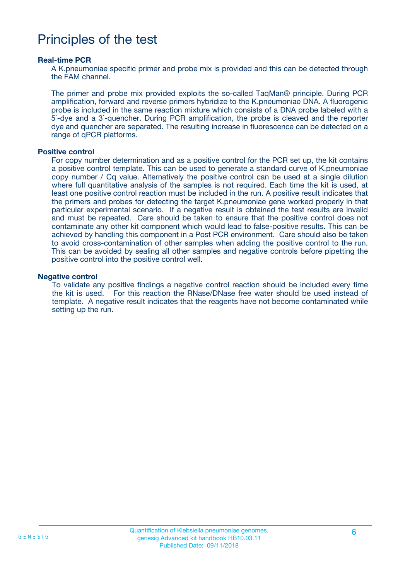## Principles of the test

#### **Real-time PCR**

A K.pneumoniae specific primer and probe mix is provided and this can be detected through the FAM channel.

The primer and probe mix provided exploits the so-called TaqMan® principle. During PCR amplification, forward and reverse primers hybridize to the K.pneumoniae DNA. A fluorogenic probe is included in the same reaction mixture which consists of a DNA probe labeled with a 5`-dye and a 3`-quencher. During PCR amplification, the probe is cleaved and the reporter dye and quencher are separated. The resulting increase in fluorescence can be detected on a range of qPCR platforms.

#### **Positive control**

For copy number determination and as a positive control for the PCR set up, the kit contains a positive control template. This can be used to generate a standard curve of K.pneumoniae copy number / Cq value. Alternatively the positive control can be used at a single dilution where full quantitative analysis of the samples is not required. Each time the kit is used, at least one positive control reaction must be included in the run. A positive result indicates that the primers and probes for detecting the target K.pneumoniae gene worked properly in that particular experimental scenario. If a negative result is obtained the test results are invalid and must be repeated. Care should be taken to ensure that the positive control does not contaminate any other kit component which would lead to false-positive results. This can be achieved by handling this component in a Post PCR environment. Care should also be taken to avoid cross-contamination of other samples when adding the positive control to the run. This can be avoided by sealing all other samples and negative controls before pipetting the positive control into the positive control well.

#### **Negative control**

To validate any positive findings a negative control reaction should be included every time the kit is used. For this reaction the RNase/DNase free water should be used instead of template. A negative result indicates that the reagents have not become contaminated while setting up the run.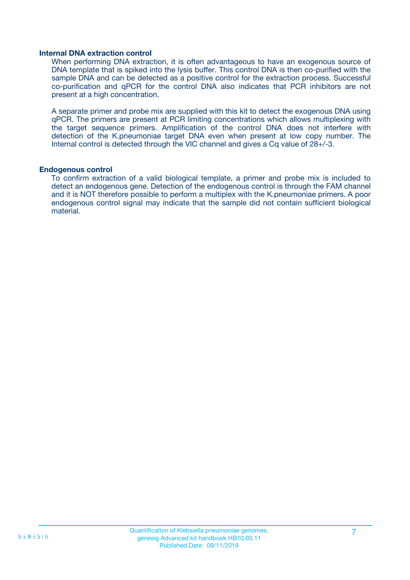#### **Internal DNA extraction control**

When performing DNA extraction, it is often advantageous to have an exogenous source of DNA template that is spiked into the lysis buffer. This control DNA is then co-purified with the sample DNA and can be detected as a positive control for the extraction process. Successful co-purification and qPCR for the control DNA also indicates that PCR inhibitors are not present at a high concentration.

A separate primer and probe mix are supplied with this kit to detect the exogenous DNA using qPCR. The primers are present at PCR limiting concentrations which allows multiplexing with the target sequence primers. Amplification of the control DNA does not interfere with detection of the K.pneumoniae target DNA even when present at low copy number. The Internal control is detected through the VIC channel and gives a Cq value of 28+/-3.

#### **Endogenous control**

To confirm extraction of a valid biological template, a primer and probe mix is included to detect an endogenous gene. Detection of the endogenous control is through the FAM channel and it is NOT therefore possible to perform a multiplex with the K.pneumoniae primers. A poor endogenous control signal may indicate that the sample did not contain sufficient biological material.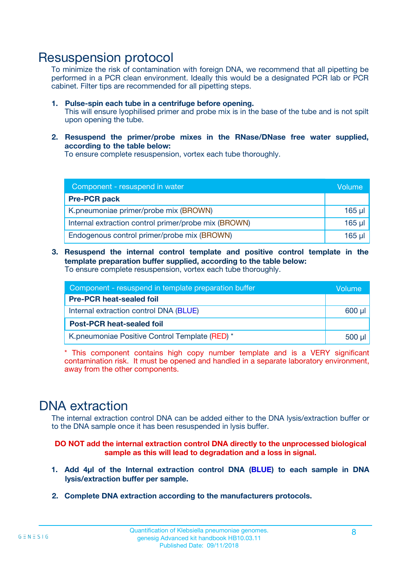### Resuspension protocol

To minimize the risk of contamination with foreign DNA, we recommend that all pipetting be performed in a PCR clean environment. Ideally this would be a designated PCR lab or PCR cabinet. Filter tips are recommended for all pipetting steps.

- **1. Pulse-spin each tube in a centrifuge before opening.** This will ensure lyophilised primer and probe mix is in the base of the tube and is not spilt upon opening the tube.
- **2. Resuspend the primer/probe mixes in the RNase/DNase free water supplied, according to the table below:**

To ensure complete resuspension, vortex each tube thoroughly.

| Component - resuspend in water                       |             |  |
|------------------------------------------------------|-------------|--|
| <b>Pre-PCR pack</b>                                  |             |  |
| K.pneumoniae primer/probe mix (BROWN)                | $165$ µl    |  |
| Internal extraction control primer/probe mix (BROWN) | $165$ $\mu$ |  |
| Endogenous control primer/probe mix (BROWN)          | $165$ µl    |  |

**3. Resuspend the internal control template and positive control template in the template preparation buffer supplied, according to the table below:** To ensure complete resuspension, vortex each tube thoroughly.

| Component - resuspend in template preparation buffer |  |  |  |
|------------------------------------------------------|--|--|--|
| <b>Pre-PCR heat-sealed foil</b>                      |  |  |  |
| Internal extraction control DNA (BLUE)               |  |  |  |
| <b>Post-PCR heat-sealed foil</b>                     |  |  |  |
| K.pneumoniae Positive Control Template (RED) *       |  |  |  |

\* This component contains high copy number template and is a VERY significant contamination risk. It must be opened and handled in a separate laboratory environment, away from the other components.

### DNA extraction

The internal extraction control DNA can be added either to the DNA lysis/extraction buffer or to the DNA sample once it has been resuspended in lysis buffer.

**DO NOT add the internal extraction control DNA directly to the unprocessed biological sample as this will lead to degradation and a loss in signal.**

- **1. Add 4µl of the Internal extraction control DNA (BLUE) to each sample in DNA lysis/extraction buffer per sample.**
- **2. Complete DNA extraction according to the manufacturers protocols.**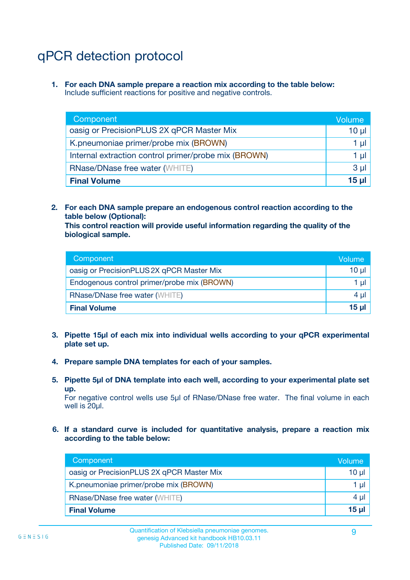## qPCR detection protocol

**1. For each DNA sample prepare a reaction mix according to the table below:** Include sufficient reactions for positive and negative controls.

| Component                                            | Volume   |
|------------------------------------------------------|----------|
| oasig or PrecisionPLUS 2X qPCR Master Mix            | $10 \mu$ |
| K.pneumoniae primer/probe mix (BROWN)                | 1 µI l   |
| Internal extraction control primer/probe mix (BROWN) | 1 µl     |
| <b>RNase/DNase free water (WHITE)</b>                | $3 \mu$  |
| <b>Final Volume</b>                                  | 15 µl    |

**2. For each DNA sample prepare an endogenous control reaction according to the table below (Optional):**

**This control reaction will provide useful information regarding the quality of the biological sample.**

| Component                                   | Volume          |
|---------------------------------------------|-----------------|
| oasig or PrecisionPLUS 2X qPCR Master Mix   | $10 \mu$        |
| Endogenous control primer/probe mix (BROWN) | 1 µI            |
| <b>RNase/DNase free water (WHITE)</b>       | 4 µl            |
| <b>Final Volume</b>                         | 15 <sub>µ</sub> |

- **3. Pipette 15µl of each mix into individual wells according to your qPCR experimental plate set up.**
- **4. Prepare sample DNA templates for each of your samples.**
- **5. Pipette 5µl of DNA template into each well, according to your experimental plate set up.**

For negative control wells use 5µl of RNase/DNase free water. The final volume in each well is 20ul.

**6. If a standard curve is included for quantitative analysis, prepare a reaction mix according to the table below:**

| Component                                 | Volume          |
|-------------------------------------------|-----------------|
| oasig or PrecisionPLUS 2X qPCR Master Mix | 10 $\mu$        |
| K.pneumoniae primer/probe mix (BROWN)     | 1 µI I          |
| <b>RNase/DNase free water (WHITE)</b>     | $4 \mu$         |
| <b>Final Volume</b>                       | 15 <sub>µ</sub> |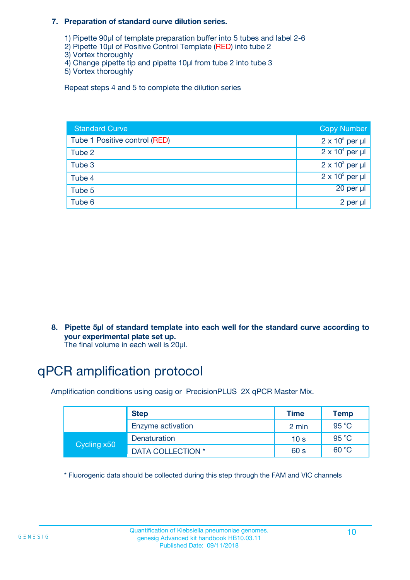#### **7. Preparation of standard curve dilution series.**

- 1) Pipette 90µl of template preparation buffer into 5 tubes and label 2-6
- 2) Pipette 10µl of Positive Control Template (RED) into tube 2
- 3) Vortex thoroughly
- 4) Change pipette tip and pipette 10µl from tube 2 into tube 3
- 5) Vortex thoroughly

Repeat steps 4 and 5 to complete the dilution series

| <b>Standard Curve</b>         | <b>Copy Number</b>     |
|-------------------------------|------------------------|
| Tube 1 Positive control (RED) | $2 \times 10^5$ per µl |
| Tube 2                        | $2 \times 10^4$ per µl |
| Tube 3                        | $2 \times 10^3$ per µl |
| Tube 4                        | $2 \times 10^2$ per µl |
| Tube 5                        | 20 per µl              |
| Tube 6                        | 2 per µl               |

**8. Pipette 5µl of standard template into each well for the standard curve according to your experimental plate set up.**

#### The final volume in each well is 20µl.

## qPCR amplification protocol

Amplification conditions using oasig or PrecisionPLUS 2X qPCR Master Mix.

|             | <b>Step</b>       | <b>Time</b>     | Temp    |
|-------------|-------------------|-----------------|---------|
|             | Enzyme activation | 2 min           | 95 °C   |
| Cycling x50 | Denaturation      | 10 <sub>s</sub> | 95 $°C$ |
|             | DATA COLLECTION * | 60 s            | 60 °C   |

\* Fluorogenic data should be collected during this step through the FAM and VIC channels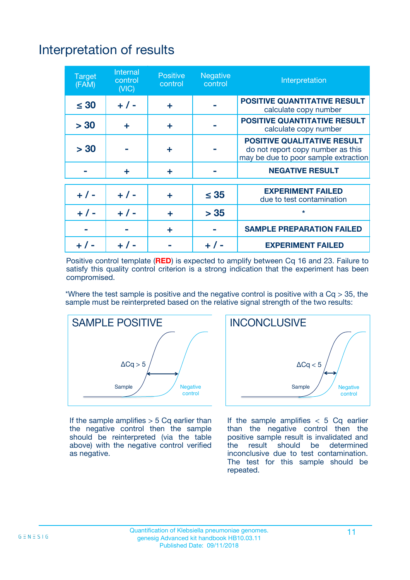## Interpretation of results

| <b>Target</b><br>(FAM) | <b>Internal</b><br>control<br>(NIC) | <b>Positive</b><br>control | <b>Negative</b><br>control | Interpretation                                                                                                  |
|------------------------|-------------------------------------|----------------------------|----------------------------|-----------------------------------------------------------------------------------------------------------------|
| $\leq 30$              | $+ 1 -$                             | ÷                          |                            | <b>POSITIVE QUANTITATIVE RESULT</b><br>calculate copy number                                                    |
| > 30                   | ٠                                   | ÷                          |                            | <b>POSITIVE QUANTITATIVE RESULT</b><br>calculate copy number                                                    |
| > 30                   |                                     | ÷                          |                            | <b>POSITIVE QUALITATIVE RESULT</b><br>do not report copy number as this<br>may be due to poor sample extraction |
|                        | ÷                                   | ÷                          |                            | <b>NEGATIVE RESULT</b>                                                                                          |
| $+ 1 -$                | $+ 1 -$                             | ÷                          | $\leq$ 35                  | <b>EXPERIMENT FAILED</b><br>due to test contamination                                                           |
| $+$ / -                | $+ 1 -$                             | ÷                          | > 35                       | $\star$                                                                                                         |
|                        |                                     | ÷                          |                            | <b>SAMPLE PREPARATION FAILED</b>                                                                                |
|                        |                                     |                            | $+$ /                      | <b>EXPERIMENT FAILED</b>                                                                                        |

Positive control template (**RED**) is expected to amplify between Cq 16 and 23. Failure to satisfy this quality control criterion is a strong indication that the experiment has been compromised.

\*Where the test sample is positive and the negative control is positive with a  $Ca > 35$ , the sample must be reinterpreted based on the relative signal strength of the two results:



If the sample amplifies  $> 5$  Cq earlier than the negative control then the sample should be reinterpreted (via the table above) with the negative control verified as negative.



If the sample amplifies  $< 5$  Cq earlier than the negative control then the positive sample result is invalidated and<br>the result should be determined  $the$  result should be inconclusive due to test contamination. The test for this sample should be repeated.